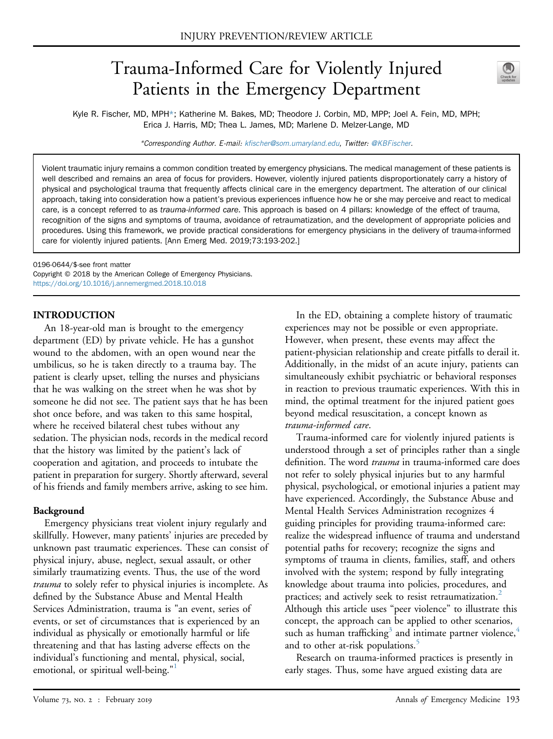# Trauma-Informed Care for Violently Injured Patients in the Emergency Department



Kyle R. Fischer, MD, MPH\*; Katherine M. Bakes, MD; Theodore J. Corbin, MD, MPP; Joel A. Fein, MD, MPH; Erica J. Harris, MD; Thea L. James, MD; Marlene D. Melzer-Lange, MD

\*Corresponding Author. E-mail: kfi[scher@som.umaryland.edu](mailto:kfischer@som.umaryland.edu), Twitter: [@KBFischer](https://twitter.com/KBFischer).

Violent traumatic injury remains a common condition treated by emergency physicians. The medical management of these patients is well described and remains an area of focus for providers. However, violently injured patients disproportionately carry a history of physical and psychological trauma that frequently affects clinical care in the emergency department. The alteration of our clinical approach, taking into consideration how a patient's previous experiences influence how he or she may perceive and react to medical care, is a concept referred to as trauma-informed care. This approach is based on 4 pillars: knowledge of the effect of trauma, recognition of the signs and symptoms of trauma, avoidance of retraumatization, and the development of appropriate policies and procedures. Using this framework, we provide practical considerations for emergency physicians in the delivery of trauma-informed care for violently injured patients. [Ann Emerg Med. 2019;73:193-202.]

0196-0644/\$-see front matter

Copyright © 2018 by the American College of Emergency Physicians. <https://doi.org/10.1016/j.annemergmed.2018.10.018>

## INTRODUCTION

An 18-year-old man is brought to the emergency department (ED) by private vehicle. He has a gunshot wound to the abdomen, with an open wound near the umbilicus, so he is taken directly to a trauma bay. The patient is clearly upset, telling the nurses and physicians that he was walking on the street when he was shot by someone he did not see. The patient says that he has been shot once before, and was taken to this same hospital, where he received bilateral chest tubes without any sedation. The physician nods, records in the medical record that the history was limited by the patient's lack of cooperation and agitation, and proceeds to intubate the patient in preparation for surgery. Shortly afterward, several of his friends and family members arrive, asking to see him.

## Background

Emergency physicians treat violent injury regularly and skillfully. However, many patients' injuries are preceded by unknown past traumatic experiences. These can consist of physical injury, abuse, neglect, sexual assault, or other similarly traumatizing events. Thus, the use of the word trauma to solely refer to physical injuries is incomplete. As defined by the Substance Abuse and Mental Health Services Administration, trauma is "an event, series of events, or set of circumstances that is experienced by an individual as physically or emotionally harmful or life threatening and that has lasting adverse effects on the individual's functioning and mental, physical, social, emotional, or spiritual well-being."<sup>[1](#page-7-0)</sup>

In the ED, obtaining a complete history of traumatic experiences may not be possible or even appropriate. However, when present, these events may affect the patient-physician relationship and create pitfalls to derail it. Additionally, in the midst of an acute injury, patients can simultaneously exhibit psychiatric or behavioral responses in reaction to previous traumatic experiences. With this in mind, the optimal treatment for the injured patient goes beyond medical resuscitation, a concept known as trauma-informed care.

Trauma-informed care for violently injured patients is understood through a set of principles rather than a single definition. The word trauma in trauma-informed care does not refer to solely physical injuries but to any harmful physical, psychological, or emotional injuries a patient may have experienced. Accordingly, the Substance Abuse and Mental Health Services Administration recognizes 4 guiding principles for providing trauma-informed care: realize the widespread influence of trauma and understand potential paths for recovery; recognize the signs and symptoms of trauma in clients, families, staff, and others involved with the system; respond by fully integrating knowledge about trauma into policies, procedures, and practices; and actively seek to resist retraumatization.<sup>2</sup> Although this article uses "peer violence" to illustrate this concept, the approach can be applied to other scenarios, such as human trafficking<sup>[3](#page-7-2)</sup> and intimate partner violence, $4$ and to other at-risk populations.<sup>5</sup>

Research on trauma-informed practices is presently in early stages. Thus, some have argued existing data are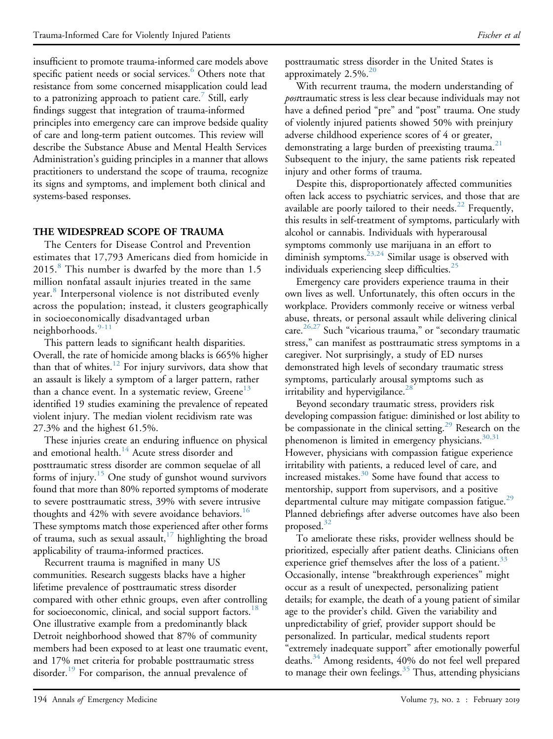insufficient to promote trauma-informed care models above specific patient needs or social services.<sup>[6](#page-7-5)</sup> Others note that resistance from some concerned misapplication could lead to a patronizing approach to patient care.<sup>[7](#page-7-6)</sup> Still, early findings suggest that integration of trauma-informed principles into emergency care can improve bedside quality of care and long-term patient outcomes. This review will describe the Substance Abuse and Mental Health Services Administration's guiding principles in a manner that allows practitioners to understand the scope of trauma, recognize its signs and symptoms, and implement both clinical and systems-based responses.

# THE WIDESPREAD SCOPE OF TRAUMA

The Centers for Disease Control and Prevention estimates that 17,793 Americans died from homicide in 2015. $8$  This number is dwarfed by the more than 1.5 million nonfatal assault injuries treated in the same year. $^8$  $^8$  Interpersonal violence is not distributed evenly across the population; instead, it clusters geographically in socioeconomically disadvantaged urban neighborhoods.<sup>[9-11](#page-7-8)</sup>

This pattern leads to significant health disparities. Overall, the rate of homicide among blacks is 665% higher than that of whites.<sup>[12](#page-7-9)</sup> For injury survivors, data show that an assault is likely a symptom of a larger pattern, rather than a chance event. In a systematic review, Greene<sup>[13](#page-7-10)</sup> identified 19 studies examining the prevalence of repeated violent injury. The median violent recidivism rate was 27.3% and the highest 61.5%.

These injuries create an enduring influence on physical and emotional health.<sup>[14](#page-7-11)</sup> Acute stress disorder and posttraumatic stress disorder are common sequelae of all forms of injury. $15$  One study of gunshot wound survivors found that more than 80% reported symptoms of moderate to severe posttraumatic stress, 39% with severe intrusive thoughts and  $42\%$  with severe avoidance behaviors.<sup>16</sup> These symptoms match those experienced after other forms of trauma, such as sexual assault,  $17$  highlighting the broad applicability of trauma-informed practices.

Recurrent trauma is magnified in many US communities. Research suggests blacks have a higher lifetime prevalence of posttraumatic stress disorder compared with other ethnic groups, even after controlling for socioeconomic, clinical, and social support factors.<sup>[18](#page-7-15)</sup> One illustrative example from a predominantly black Detroit neighborhood showed that 87% of community members had been exposed to at least one traumatic event, and 17% met criteria for probable posttraumatic stress disorder.<sup>[19](#page-7-16)</sup> For comparison, the annual prevalence of

posttraumatic stress disorder in the United States is approximately 2.5%.<sup>[20](#page-7-17)</sup>

With recurrent trauma, the modern understanding of posttraumatic stress is less clear because individuals may not have a defined period "pre" and "post" trauma. One study of violently injured patients showed 50% with preinjury adverse childhood experience scores of 4 or greater, demonstrating a large burden of preexisting trauma. $^{21}$  $^{21}$  $^{21}$ Subsequent to the injury, the same patients risk repeated injury and other forms of trauma.

Despite this, disproportionately affected communities often lack access to psychiatric services, and those that are available are poorly tailored to their needs.<sup>[22](#page-7-19)</sup> Frequently, this results in self-treatment of symptoms, particularly with alcohol or cannabis. Individuals with hyperarousal symptoms commonly use marijuana in an effort to  $diminish$  symptoms.<sup>[23,24](#page-7-20)</sup> Similar usage is observed with individuals experiencing sleep difficulties.<sup>[25](#page-8-0)</sup>

Emergency care providers experience trauma in their own lives as well. Unfortunately, this often occurs in the workplace. Providers commonly receive or witness verbal abuse, threats, or personal assault while delivering clinical care.<sup>[26,27](#page-8-1)</sup> Such "vicarious trauma," or "secondary traumatic stress," can manifest as posttraumatic stress symptoms in a caregiver. Not surprisingly, a study of ED nurses demonstrated high levels of secondary traumatic stress symptoms, particularly arousal symptoms such as irritability and hypervigilance. $28$ 

Beyond secondary traumatic stress, providers risk developing compassion fatigue: diminished or lost ability to be compassionate in the clinical setting.<sup>29</sup> Research on the phenomenon is limited in emergency physicians.<sup>[30,31](#page-8-4)</sup> However, physicians with compassion fatigue experience irritability with patients, a reduced level of care, and increased mistakes.[30](#page-8-4) Some have found that access to mentorship, support from supervisors, and a positive departmental culture may mitigate compassion fatigue.<sup>29</sup> Planned debriefings after adverse outcomes have also been proposed. $32$ 

To ameliorate these risks, provider wellness should be prioritized, especially after patient deaths. Clinicians often experience grief themselves after the loss of a patient.<sup>[33](#page-8-6)</sup> Occasionally, intense "breakthrough experiences" might occur as a result of unexpected, personalizing patient details; for example, the death of a young patient of similar age to the provider's child. Given the variability and unpredictability of grief, provider support should be personalized. In particular, medical students report "extremely inadequate support" after emotionally powerful deaths.<sup>[34](#page-8-7)</sup> Among residents, 40% do not feel well prepared to manage their own feelings.<sup>[35](#page-8-8)</sup> Thus, attending physicians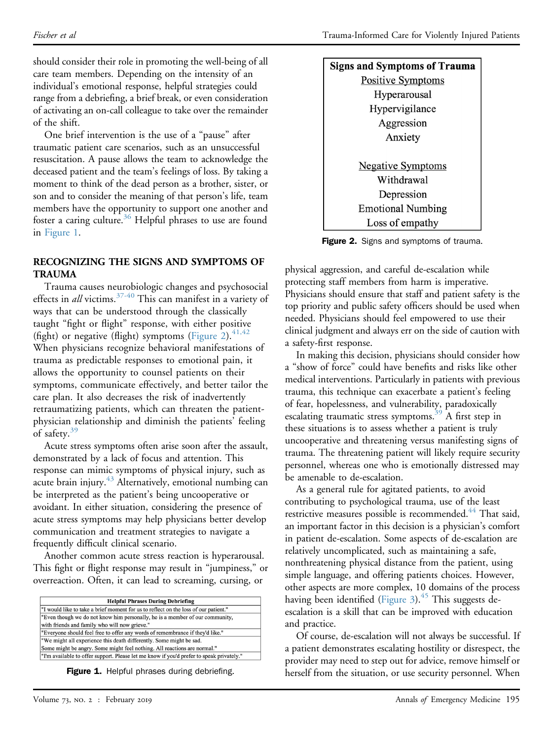should consider their role in promoting the well-being of all care team members. Depending on the intensity of an individual's emotional response, helpful strategies could range from a debriefing, a brief break, or even consideration of activating an on-call colleague to take over the remainder of the shift.

One brief intervention is the use of a "pause" after traumatic patient care scenarios, such as an unsuccessful resuscitation. A pause allows the team to acknowledge the deceased patient and the team's feelings of loss. By taking a moment to think of the dead person as a brother, sister, or son and to consider the meaning of that person's life, team members have the opportunity to support one another and foster a caring culture. $36$  Helpful phrases to use are found in [Figure 1.](#page-2-0)

## RECOGNIZING THE SIGNS AND SYMPTOMS OF TRAUMA

Trauma causes neurobiologic changes and psychosocial effects in *all* victims.<sup>[37-40](#page-8-10)</sup> This can manifest in a variety of ways that can be understood through the classically taught "fight or flight" response, with either positive (fight) or negative (flight) symptoms [\(Figure 2](#page-2-1)). $^{41,42}$  $^{41,42}$  $^{41,42}$ When physicians recognize behavioral manifestations of trauma as predictable responses to emotional pain, it allows the opportunity to counsel patients on their symptoms, communicate effectively, and better tailor the care plan. It also decreases the risk of inadvertently retraumatizing patients, which can threaten the patientphysician relationship and diminish the patients' feeling of safety.<sup>35</sup>

Acute stress symptoms often arise soon after the assault, demonstrated by a lack of focus and attention. This response can mimic symptoms of physical injury, such as acute brain injury.<sup>43</sup> Alternatively, emotional numbing can be interpreted as the patient's being uncooperative or avoidant. In either situation, considering the presence of acute stress symptoms may help physicians better develop communication and treatment strategies to navigate a frequently difficult clinical scenario.

Another common acute stress reaction is hyperarousal. This fight or flight response may result in "jumpiness," or overreaction. Often, it can lead to screaming, cursing, or

<span id="page-2-0"></span>

| <b>Helpful Phrases During Debriefing</b>                                                 |  |
|------------------------------------------------------------------------------------------|--|
| "I would like to take a brief moment for us to reflect on the loss of our patient."      |  |
| "Even though we do not know him personally, he is a member of our community,             |  |
| with friends and family who will now grieve."                                            |  |
| "Everyone should feel free to offer any words of remembrance if they'd like."            |  |
| "We might all experience this death differently. Some might be sad.                      |  |
| Some might be angry. Some might feel nothing. All reactions are normal."                 |  |
| "I'm available to offer support. Please let me know if you'd prefer to speak privately." |  |

<span id="page-2-1"></span>

| <b>Signs and Symptoms of Trauma</b> |
|-------------------------------------|
| <b>Positive Symptoms</b>            |
| Hyperarousal                        |
| Hypervigilance                      |
| Aggression                          |
| Anxiety                             |
|                                     |
| <b>Negative Symptoms</b>            |
| Withdrawal                          |
| Depression                          |
| <b>Emotional Numbing</b>            |
| Loss of empathy                     |

Figure 2. Signs and symptoms of trauma.

physical aggression, and careful de-escalation while protecting staff members from harm is imperative. Physicians should ensure that staff and patient safety is the top priority and public safety officers should be used when needed. Physicians should feel empowered to use their clinical judgment and always err on the side of caution with a safety-first response.

In making this decision, physicians should consider how a "show of force" could have benefits and risks like other medical interventions. Particularly in patients with previous trauma, this technique can exacerbate a patient's feeling of fear, hopelessness, and vulnerability, paradoxically escalating traumatic stress symptoms.<sup>[39](#page-8-12)</sup> A first step in these situations is to assess whether a patient is truly uncooperative and threatening versus manifesting signs of trauma. The threatening patient will likely require security personnel, whereas one who is emotionally distressed may be amenable to de-escalation.

As a general rule for agitated patients, to avoid contributing to psychological trauma, use of the least restrictive measures possible is recommended.<sup>44</sup> That said, an important factor in this decision is a physician's comfort in patient de-escalation. Some aspects of de-escalation are relatively uncomplicated, such as maintaining a safe, nonthreatening physical distance from the patient, using simple language, and offering patients choices. However, other aspects are more complex, 10 domains of the process having been identified [\(Figure 3](#page-3-0)).<sup>45</sup> This suggests deescalation is a skill that can be improved with education and practice.

Of course, de-escalation will not always be successful. If a patient demonstrates escalating hostility or disrespect, the provider may need to step out for advice, remove himself or Figure 1. Helpful phrases during debriefing. herself from the situation, or use security personnel. When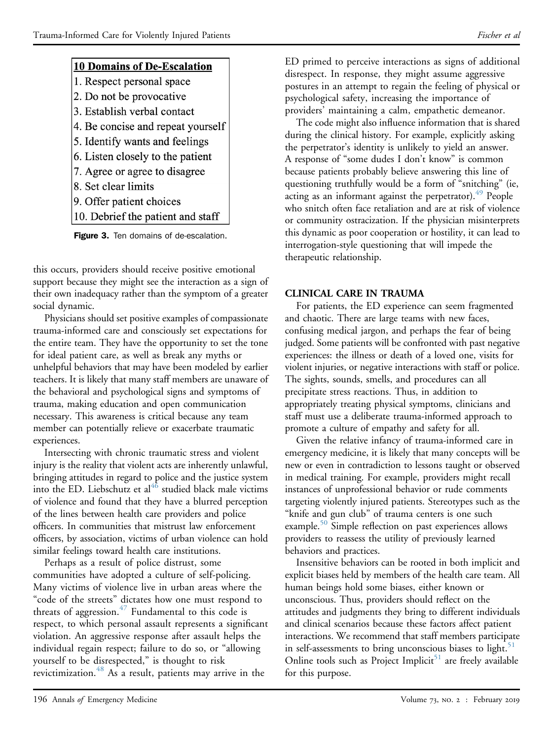# <span id="page-3-0"></span>**10 Domains of De-Escalation**

- 1. Respect personal space 2. Do not be provocative 3. Establish verbal contact 4. Be concise and repeat yourself 5. Identify wants and feelings 6. Listen closely to the patient 7. Agree or agree to disagree
- 8. Set clear limits
- 9. Offer patient choices
- 10. Debrief the patient and staff

Figure 3. Ten domains of de-escalation.

this occurs, providers should receive positive emotional support because they might see the interaction as a sign of their own inadequacy rather than the symptom of a greater social dynamic.

Physicians should set positive examples of compassionate trauma-informed care and consciously set expectations for the entire team. They have the opportunity to set the tone for ideal patient care, as well as break any myths or unhelpful behaviors that may have been modeled by earlier teachers. It is likely that many staff members are unaware of the behavioral and psychological signs and symptoms of trauma, making education and open communication necessary. This awareness is critical because any team member can potentially relieve or exacerbate traumatic experiences.

Intersecting with chronic traumatic stress and violent injury is the reality that violent acts are inherently unlawful, bringing attitudes in regard to police and the justice system into the ED. Liebschutz et al<sup>[46](#page-8-16)</sup> studied black male victims of violence and found that they have a blurred perception of the lines between health care providers and police officers. In communities that mistrust law enforcement officers, by association, victims of urban violence can hold similar feelings toward health care institutions.

Perhaps as a result of police distrust, some communities have adopted a culture of self-policing. Many victims of violence live in urban areas where the "code of the streets" dictates how one must respond to threats of aggression. $47$  Fundamental to this code is respect, to which personal assault represents a significant violation. An aggressive response after assault helps the individual regain respect; failure to do so, or "allowing yourself to be disrespected," is thought to risk revictimization. $48$  As a result, patients may arrive in the

ED primed to perceive interactions as signs of additional disrespect. In response, they might assume aggressive postures in an attempt to regain the feeling of physical or psychological safety, increasing the importance of providers' maintaining a calm, empathetic demeanor.

The code might also influence information that is shared during the clinical history. For example, explicitly asking the perpetrator's identity is unlikely to yield an answer. A response of "some dudes I don't know" is common because patients probably believe answering this line of questioning truthfully would be a form of "snitching" (ie, acting as an informant against the perpetrator). $49$  People who snitch often face retaliation and are at risk of violence or community ostracization. If the physician misinterprets this dynamic as poor cooperation or hostility, it can lead to interrogation-style questioning that will impede the therapeutic relationship.

# CLINICAL CARE IN TRAUMA

For patients, the ED experience can seem fragmented and chaotic. There are large teams with new faces, confusing medical jargon, and perhaps the fear of being judged. Some patients will be confronted with past negative experiences: the illness or death of a loved one, visits for violent injuries, or negative interactions with staff or police. The sights, sounds, smells, and procedures can all precipitate stress reactions. Thus, in addition to appropriately treating physical symptoms, clinicians and staff must use a deliberate trauma-informed approach to promote a culture of empathy and safety for all.

Given the relative infancy of trauma-informed care in emergency medicine, it is likely that many concepts will be new or even in contradiction to lessons taught or observed in medical training. For example, providers might recall instances of unprofessional behavior or rude comments targeting violently injured patients. Stereotypes such as the "knife and gun club" of trauma centers is one such example.<sup>[50](#page-8-20)</sup> Simple reflection on past experiences allows providers to reassess the utility of previously learned behaviors and practices.

Insensitive behaviors can be rooted in both implicit and explicit biases held by members of the health care team. All human beings hold some biases, either known or unconscious. Thus, providers should reflect on the attitudes and judgments they bring to different individuals and clinical scenarios because these factors affect patient interactions. We recommend that staff members participate in self-assessments to bring unconscious biases to light. $51$ Online tools such as Project Implicit $51$  are freely available for this purpose.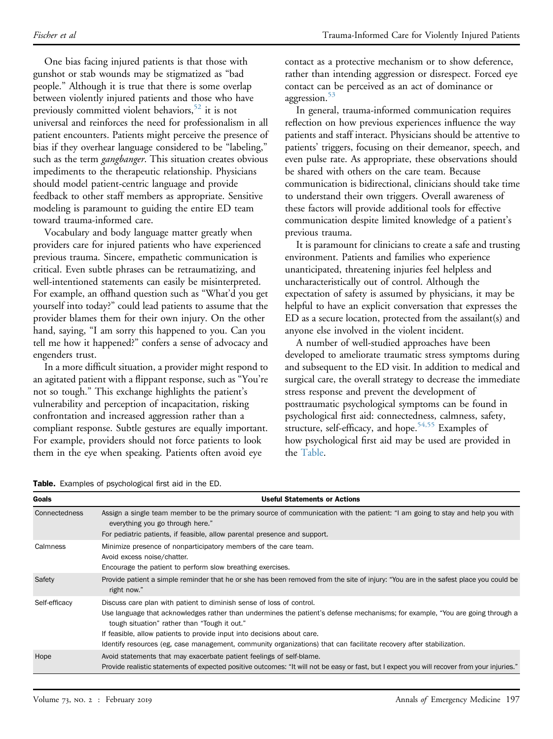One bias facing injured patients is that those with gunshot or stab wounds may be stigmatized as "bad people." Although it is true that there is some overlap between violently injured patients and those who have previously committed violent behaviors,<sup>[52](#page-8-22)</sup> it is not universal and reinforces the need for professionalism in all patient encounters. Patients might perceive the presence of bias if they overhear language considered to be "labeling," such as the term *gangbanger*. This situation creates obvious impediments to the therapeutic relationship. Physicians should model patient-centric language and provide feedback to other staff members as appropriate. Sensitive modeling is paramount to guiding the entire ED team toward trauma-informed care.

Vocabulary and body language matter greatly when providers care for injured patients who have experienced previous trauma. Sincere, empathetic communication is critical. Even subtle phrases can be retraumatizing, and well-intentioned statements can easily be misinterpreted. For example, an offhand question such as "What'd you get yourself into today?" could lead patients to assume that the provider blames them for their own injury. On the other hand, saying, "I am sorry this happened to you. Can you tell me how it happened?" confers a sense of advocacy and engenders trust.

In a more difficult situation, a provider might respond to an agitated patient with a flippant response, such as "You're not so tough." This exchange highlights the patient's vulnerability and perception of incapacitation, risking confrontation and increased aggression rather than a compliant response. Subtle gestures are equally important. For example, providers should not force patients to look them in the eye when speaking. Patients often avoid eye

contact as a protective mechanism or to show deference, rather than intending aggression or disrespect. Forced eye contact can be perceived as an act of dominance or aggression.<sup>[53](#page-8-23)</sup>

In general, trauma-informed communication requires reflection on how previous experiences influence the way patients and staff interact. Physicians should be attentive to patients' triggers, focusing on their demeanor, speech, and even pulse rate. As appropriate, these observations should be shared with others on the care team. Because communication is bidirectional, clinicians should take time to understand their own triggers. Overall awareness of these factors will provide additional tools for effective communication despite limited knowledge of a patient's previous trauma.

It is paramount for clinicians to create a safe and trusting environment. Patients and families who experience unanticipated, threatening injuries feel helpless and uncharacteristically out of control. Although the expectation of safety is assumed by physicians, it may be helpful to have an explicit conversation that expresses the ED as a secure location, protected from the assailant(s) and anyone else involved in the violent incident.

A number of well-studied approaches have been developed to ameliorate traumatic stress symptoms during and subsequent to the ED visit. In addition to medical and surgical care, the overall strategy to decrease the immediate stress response and prevent the development of posttraumatic psychological symptoms can be found in psychological first aid: connectedness, calmness, safety, structure, self-efficacy, and hope.<sup>[54,55](#page-8-24)</sup> Examples of how psychological first aid may be used are provided in the [Table](#page-4-0).

<span id="page-4-0"></span>

|  | Table. Examples of psychological first aid in the ED. |  |  |  |
|--|-------------------------------------------------------|--|--|--|
|  |                                                       |  |  |  |

| Goals         | <b>Useful Statements or Actions</b>                                                                                                                                                                                                                                                                                                                                                                                                                     |
|---------------|---------------------------------------------------------------------------------------------------------------------------------------------------------------------------------------------------------------------------------------------------------------------------------------------------------------------------------------------------------------------------------------------------------------------------------------------------------|
| Connectedness | Assign a single team member to be the primary source of communication with the patient: "I am going to stay and help you with<br>everything you go through here."<br>For pediatric patients, if feasible, allow parental presence and support.                                                                                                                                                                                                          |
| Calmness      | Minimize presence of nonparticipatory members of the care team.<br>Avoid excess noise/chatter.<br>Encourage the patient to perform slow breathing exercises.                                                                                                                                                                                                                                                                                            |
| Safety        | Provide patient a simple reminder that he or she has been removed from the site of injury: "You are in the safest place you could be<br>right now."                                                                                                                                                                                                                                                                                                     |
| Self-efficacy | Discuss care plan with patient to diminish sense of loss of control.<br>Use language that acknowledges rather than undermines the patient's defense mechanisms; for example, "You are going through a<br>tough situation" rather than "Tough it out."<br>If feasible, allow patients to provide input into decisions about care.<br>Identify resources (eg, case management, community organizations) that can facilitate recovery after stabilization. |
| Hope          | Avoid statements that may exacerbate patient feelings of self-blame.<br>Provide realistic statements of expected positive outcomes: "It will not be easy or fast, but I expect you will recover from your injuries."                                                                                                                                                                                                                                    |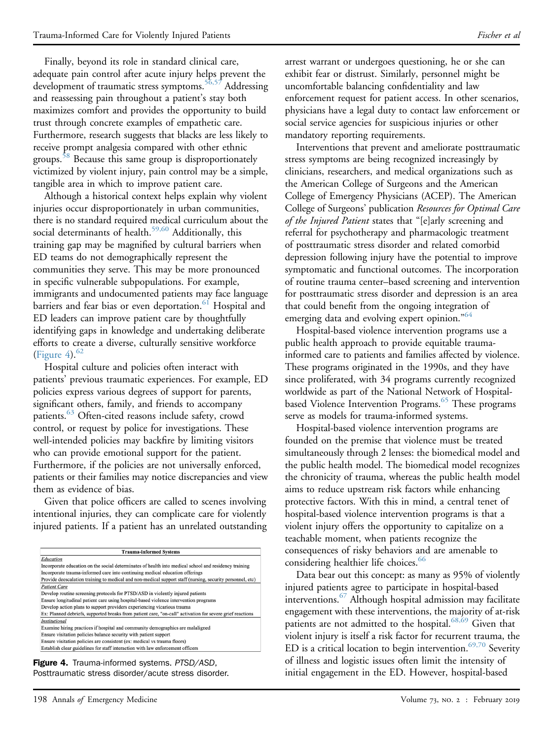Finally, beyond its role in standard clinical care, adequate pain control after acute injury helps prevent the development of traumatic stress symptoms.<sup>[56,57](#page-8-25)</sup> Addressing and reassessing pain throughout a patient's stay both maximizes comfort and provides the opportunity to build trust through concrete examples of empathetic care. Furthermore, research suggests that blacks are less likely to receive prompt analgesia compared with other ethnic groups.<sup>[58](#page-8-26)</sup> Because this same group is disproportionately victimized by violent injury, pain control may be a simple, tangible area in which to improve patient care.

Although a historical context helps explain why violent injuries occur disproportionately in urban communities, there is no standard required medical curriculum about the social determinants of health.<sup>[59,60](#page-8-27)</sup> Additionally, this training gap may be magnified by cultural barriers when ED teams do not demographically represent the communities they serve. This may be more pronounced in specific vulnerable subpopulations. For example, immigrants and undocumented patients may face language barriers and fear bias or even deportation.<sup>[61](#page-8-28)</sup> Hospital and ED leaders can improve patient care by thoughtfully identifying gaps in knowledge and undertaking deliberate efforts to create a diverse, culturally sensitive workforce [\(Figure 4](#page-5-0)). $62$ 

Hospital culture and policies often interact with patients' previous traumatic experiences. For example, ED policies express various degrees of support for parents, significant others, family, and friends to accompany patients.<sup>63</sup> Often-cited reasons include safety, crowd control, or request by police for investigations. These well-intended policies may backfire by limiting visitors who can provide emotional support for the patient. Furthermore, if the policies are not universally enforced, patients or their families may notice discrepancies and view them as evidence of bias.

Given that police officers are called to scenes involving intentional injuries, they can complicate care for violently injured patients. If a patient has an unrelated outstanding

<span id="page-5-0"></span>

| <b>Trauma-informed Systems</b>                                                                            |
|-----------------------------------------------------------------------------------------------------------|
| Education                                                                                                 |
| Incorporate education on the social determinates of health into medical school and residency training     |
| Incorporate trauma-informed care into continuing medical education offerings                              |
| Provide deescalation training to medical and non-medical support staff (nursing, security personnel, etc) |
| <b>Patient Care</b>                                                                                       |
| Develop routine screening protocols for PTSD/ASD in violently injured patients                            |
| Ensure longitudinal patient care using hospital-based violence intervention programs                      |
| Develop action plans to support providers experiencing vicarious trauma                                   |
| Ex: Planned debriefs, supported breaks from patient care, "on-call" activation for severe grief reactions |
| Institutional                                                                                             |
| Examine hiring practices if hospital and community demographics are malaligned                            |
| Ensure visitation policies balance security with patient support                                          |
| Ensure visitation policies are consistent (ex: medical vs trauma floors)                                  |
| Establish clear guidelines for staff interaction with law enforcement officers                            |

Figure 4. Trauma-informed systems. PTSD/ASD, Posttraumatic stress disorder/acute stress disorder. arrest warrant or undergoes questioning, he or she can exhibit fear or distrust. Similarly, personnel might be uncomfortable balancing confidentiality and law enforcement request for patient access. In other scenarios, physicians have a legal duty to contact law enforcement or social service agencies for suspicious injuries or other mandatory reporting requirements.

Interventions that prevent and ameliorate posttraumatic stress symptoms are being recognized increasingly by clinicians, researchers, and medical organizations such as the American College of Surgeons and the American College of Emergency Physicians (ACEP). The American College of Surgeons' publication Resources for Optimal Care of the Injured Patient states that "[e]arly screening and referral for psychotherapy and pharmacologic treatment of posttraumatic stress disorder and related comorbid depression following injury have the potential to improve symptomatic and functional outcomes. The incorporation of routine trauma center–based screening and intervention for posttraumatic stress disorder and depression is an area that could benefit from the ongoing integration of emerging data and evolving expert opinion."<sup>[64](#page-8-31)</sup>

Hospital-based violence intervention programs use a public health approach to provide equitable traumainformed care to patients and families affected by violence. These programs originated in the 1990s, and they have since proliferated, with 34 programs currently recognized worldwide as part of the National Network of Hospitalbased Violence Intervention Programs.<sup>65</sup> These programs serve as models for trauma-informed systems.

Hospital-based violence intervention programs are founded on the premise that violence must be treated simultaneously through 2 lenses: the biomedical model and the public health model. The biomedical model recognizes the chronicity of trauma, whereas the public health model aims to reduce upstream risk factors while enhancing protective factors. With this in mind, a central tenet of hospital-based violence intervention programs is that a violent injury offers the opportunity to capitalize on a teachable moment, when patients recognize the consequences of risky behaviors and are amenable to considering healthier life choices.<sup>66</sup>

Data bear out this concept: as many as 95% of violently injured patients agree to participate in hospital-based interventions.<sup>67</sup> Although hospital admission may facilitate engagement with these interventions, the majority of at-risk patients are not admitted to the hospital.<sup>68,69</sup> Given that violent injury is itself a risk factor for recurrent trauma, the ED is a critical location to begin intervention. $69,70$  Severity of illness and logistic issues often limit the intensity of initial engagement in the ED. However, hospital-based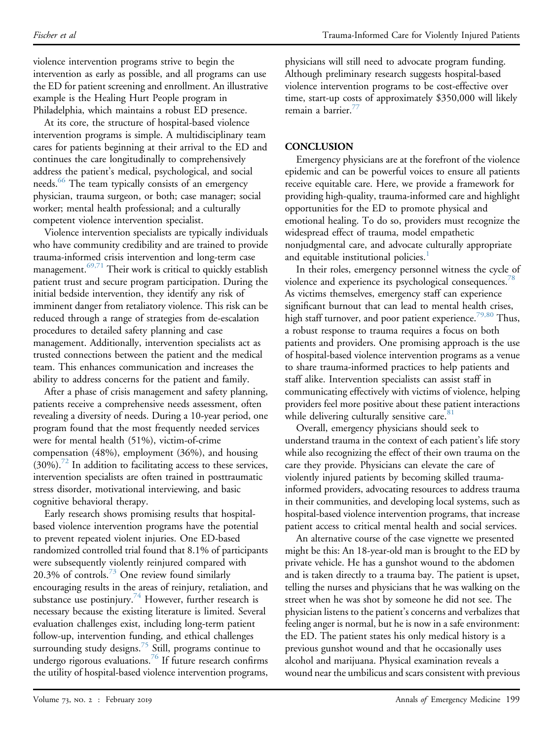violence intervention programs strive to begin the intervention as early as possible, and all programs can use the ED for patient screening and enrollment. An illustrative example is the Healing Hurt People program in Philadelphia, which maintains a robust ED presence.

At its core, the structure of hospital-based violence intervention programs is simple. A multidisciplinary team cares for patients beginning at their arrival to the ED and continues the care longitudinally to comprehensively address the patient's medical, psychological, and social needs.<sup>66</sup> The team typically consists of an emergency physician, trauma surgeon, or both; case manager; social worker; mental health professional; and a culturally competent violence intervention specialist.

Violence intervention specialists are typically individuals who have community credibility and are trained to provide trauma-informed crisis intervention and long-term case management.<sup>[69,71](#page-9-1)</sup> Their work is critical to quickly establish patient trust and secure program participation. During the initial bedside intervention, they identify any risk of imminent danger from retaliatory violence. This risk can be reduced through a range of strategies from de-escalation procedures to detailed safety planning and case management. Additionally, intervention specialists act as trusted connections between the patient and the medical team. This enhances communication and increases the ability to address concerns for the patient and family.

After a phase of crisis management and safety planning, patients receive a comprehensive needs assessment, often revealing a diversity of needs. During a 10-year period, one program found that the most frequently needed services were for mental health (51%), victim-of-crime compensation (48%), employment (36%), and housing  $(30\%)$ .<sup>[72](#page-9-2)</sup> In addition to facilitating access to these services, intervention specialists are often trained in posttraumatic stress disorder, motivational interviewing, and basic cognitive behavioral therapy.

Early research shows promising results that hospitalbased violence intervention programs have the potential to prevent repeated violent injuries. One ED-based randomized controlled trial found that 8.1% of participants were subsequently violently reinjured compared with 20.3% of controls.<sup>73</sup> One review found similarly encouraging results in the areas of reinjury, retaliation, and substance use postinjury.<sup>74</sup> However, further research is necessary because the existing literature is limited. Several evaluation challenges exist, including long-term patient follow-up, intervention funding, and ethical challenges surrounding study designs.<sup>75</sup> Still, programs continue to undergo rigorous evaluations.<sup>[76](#page-9-6)</sup> If future research confirms the utility of hospital-based violence intervention programs,

physicians will still need to advocate program funding. Although preliminary research suggests hospital-based violence intervention programs to be cost-effective over time, start-up costs of approximately \$350,000 will likely remain a barrier.<sup>[77](#page-9-7)</sup>

## **CONCLUSION**

Emergency physicians are at the forefront of the violence epidemic and can be powerful voices to ensure all patients receive equitable care. Here, we provide a framework for providing high-quality, trauma-informed care and highlight opportunities for the ED to promote physical and emotional healing. To do so, providers must recognize the widespread effect of trauma, model empathetic nonjudgmental care, and advocate culturally appropriate and equitable institutional policies.<sup>1</sup>

In their roles, emergency personnel witness the cycle of violence and experience its psychological consequences.<sup>78</sup> As victims themselves, emergency staff can experience significant burnout that can lead to mental health crises, high staff turnover, and poor patient experience.<sup>[79,80](#page-9-9)</sup> Thus, a robust response to trauma requires a focus on both patients and providers. One promising approach is the use of hospital-based violence intervention programs as a venue to share trauma-informed practices to help patients and staff alike. Intervention specialists can assist staff in communicating effectively with victims of violence, helping providers feel more positive about these patient interactions while delivering culturally sensitive care. $81$ 

Overall, emergency physicians should seek to understand trauma in the context of each patient's life story while also recognizing the effect of their own trauma on the care they provide. Physicians can elevate the care of violently injured patients by becoming skilled traumainformed providers, advocating resources to address trauma in their communities, and developing local systems, such as hospital-based violence intervention programs, that increase patient access to critical mental health and social services.

An alternative course of the case vignette we presented might be this: An 18-year-old man is brought to the ED by private vehicle. He has a gunshot wound to the abdomen and is taken directly to a trauma bay. The patient is upset, telling the nurses and physicians that he was walking on the street when he was shot by someone he did not see. The physician listens to the patient's concerns and verbalizes that feeling anger is normal, but he is now in a safe environment: the ED. The patient states his only medical history is a previous gunshot wound and that he occasionally uses alcohol and marijuana. Physical examination reveals a wound near the umbilicus and scars consistent with previous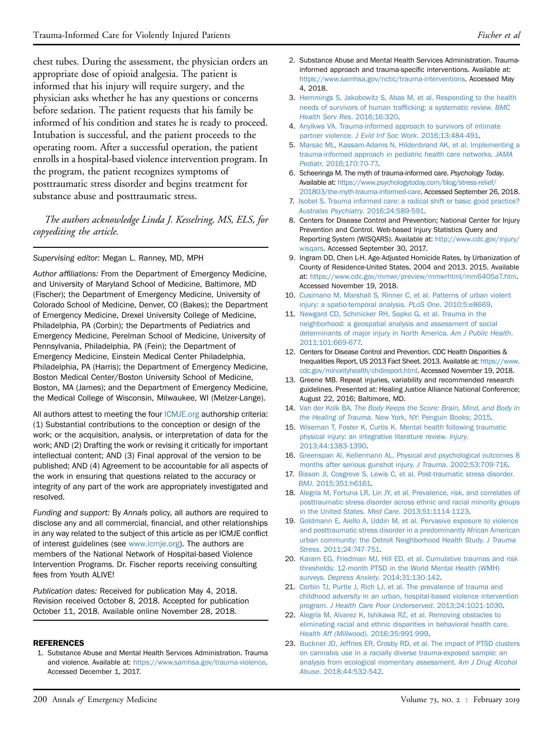chest tubes. During the assessment, the physician orders an appropriate dose of opioid analgesia. The patient is informed that his injury will require surgery, and the physician asks whether he has any questions or concerns before sedation. The patient requests that his family be informed of his condition and states he is ready to proceed. Intubation is successful, and the patient proceeds to the operating room. After a successful operation, the patient enrolls in a hospital-based violence intervention program. In the program, the patient recognizes symptoms of posttraumatic stress disorder and begins treatment for substance abuse and posttraumatic stress.

The authors acknowledge Linda J. Kesselring, MS, ELS, for copyediting the article.

#### Supervising editor: Megan L. Ranney, MD, MPH

Author affiliations: From the Department of Emergency Medicine, and University of Maryland School of Medicine, Baltimore, MD (Fischer); the Department of Emergency Medicine, University of Colorado School of Medicine, Denver, CO (Bakes); the Department of Emergency Medicine, Drexel University College of Medicine, Philadelphia, PA (Corbin); the Departments of Pediatrics and Emergency Medicine, Perelman School of Medicine, University of Pennsylvania, Philadelphia, PA (Fein); the Department of Emergency Medicine, Einstein Medical Center Philadelphia, Philadelphia, PA (Harris); the Department of Emergency Medicine, Boston Medical Center/Boston University School of Medicine, Boston, MA (James); and the Department of Emergency Medicine, the Medical College of Wisconsin, Milwaukee, WI (Melzer-Lange).

All authors attest to meeting the four [ICMJE.org](http://ICMJE.org) authorship criteria: (1) Substantial contributions to the conception or design of the work; or the acquisition, analysis, or interpretation of data for the work; AND (2) Drafting the work or revising it critically for important intellectual content; AND (3) Final approval of the version to be published; AND (4) Agreement to be accountable for all aspects of the work in ensuring that questions related to the accuracy or integrity of any part of the work are appropriately investigated and resolved.

Funding and support: By Annals policy, all authors are required to disclose any and all commercial, financial, and other relationships in any way related to the subject of this article as per ICMJE conflict of interest guidelines (see [www.icmje.org](http://www.icmje.org/)). The authors are members of the National Network of Hospital-based Violence Intervention Programs. Dr. Fischer reports receiving consulting fees from Youth ALIVE!

Publication dates: Received for publication May 4, 2018. Revision received October 8, 2018. Accepted for publication October 11, 2018. Available online November 28, 2018.

#### <span id="page-7-0"></span>REFERENCES

1. Substance Abuse and Mental Health Services Administration. Trauma and violence. Available at: [https://www.samhsa.gov/trauma-violence.](https://www.samhsa.gov/trauma-violence) Accessed December 1, 2017.

- <span id="page-7-1"></span><https://www.samhsa.gov/nctic/trauma-interventions>. Accessed May 4, 2018. 3. [Hemmings S, Jakobowitz S, Abas M, et al. Responding to the health](http://refhub.elsevier.com/S0196-0644(18)31372-6/sref3)
- <span id="page-7-2"></span>[needs of survivors of human traf](http://refhub.elsevier.com/S0196-0644(18)31372-6/sref3)ficking: a systematic review. BMC [Health Serv Res](http://refhub.elsevier.com/S0196-0644(18)31372-6/sref3). 2016;16:320.
- <span id="page-7-3"></span>4. [Anyikwa VA. Trauma-informed approach to survivors of intimate](http://refhub.elsevier.com/S0196-0644(18)31372-6/sref4) partner violence. J Evid Inf Soc Work[. 2016;13:484-491.](http://refhub.elsevier.com/S0196-0644(18)31372-6/sref4)
- <span id="page-7-4"></span>5. [Marsac ML, Kassam-Adams N, Hildenbrand AK, et al. Implementing a](http://refhub.elsevier.com/S0196-0644(18)31372-6/sref5) [trauma-informed approach in pediatric health care networks.](http://refhub.elsevier.com/S0196-0644(18)31372-6/sref5) JAMA Pediatr[. 2016;170:70-77.](http://refhub.elsevier.com/S0196-0644(18)31372-6/sref5)
- <span id="page-7-5"></span>6. Scheeringa M. The myth of trauma-informed care. Psychology Today. Available at: [https://www.psychologytoday.com/blog/stress-relief/](https://www.psychologytoday.com/blog/stress-relief/201803/the-myth-trauma-informed-care) [201803/the-myth-trauma-informed-care](https://www.psychologytoday.com/blog/stress-relief/201803/the-myth-trauma-informed-care). Accessed September 26, 2018.
- <span id="page-7-6"></span>7. [Isobel S. Trauma informed care: a radical shift or basic good practice?](http://refhub.elsevier.com/S0196-0644(18)31372-6/sref7) [Australas Psychiatry](http://refhub.elsevier.com/S0196-0644(18)31372-6/sref7). 2016;24:589-591.
- <span id="page-7-7"></span>8. Centers for Disease Control and Prevention; National Center for Injury Prevention and Control. Web-based Injury Statistics Query and Reporting System (WISQARS). Available at: [http://www.cdc.gov/injury/](http://www.cdc.gov/injury/wisqars) [wisqars](http://www.cdc.gov/injury/wisqars). Accessed September 30, 2017.
- <span id="page-7-8"></span>9. Ingram DD, Chen L-H. Age-Adjusted Homicide Rates, by Urbanization of County of Residence-United States, 2004 and 2013. 2015. Available at: [https://www.cdc.gov/mmwr/preview/mmwrhtml/mm6405a7.htm.](https://www.cdc.gov/mmwr/preview/mmwrhtml/mm6405a7.htm) Accessed November 19, 2018.
- 10. [Cusimano M, Marshall S, Rinner C, et al. Patterns of urban violent](http://refhub.elsevier.com/S0196-0644(18)31372-6/sref10) [injury: a spatio-temporal analysis.](http://refhub.elsevier.com/S0196-0644(18)31372-6/sref10) PLoS One. 2010;5:e8669.
- 11. [Newgard CD, Schmicker RH, Sopko G, et al. Trauma in the](http://refhub.elsevier.com/S0196-0644(18)31372-6/sref11) [neighborhood: a geospatial analysis and assessment of social](http://refhub.elsevier.com/S0196-0644(18)31372-6/sref11) [determinants of major injury in North America.](http://refhub.elsevier.com/S0196-0644(18)31372-6/sref11) Am J Public Health. [2011;101:669-677.](http://refhub.elsevier.com/S0196-0644(18)31372-6/sref11)
- <span id="page-7-9"></span>12. Centers for Disease Control and Prevention. CDC Health Disparities & Inequalities Report, US 2013 Fact Sheet. 2013. Available at: [https://www.](https://www.cdc.gov/minorityhealth/chdireport.html) [cdc.gov/minorityhealth/chdireport.html.](https://www.cdc.gov/minorityhealth/chdireport.html) Accessed November 19, 2018.
- <span id="page-7-10"></span>13. Greene MB. Repeat injuries, variability and recommended research guidelines. Presented at: Healing Justice Alliance National Conference; August 22, 2016; Baltimore, MD.
- <span id="page-7-11"></span>14. Van der Kolk BA. [The Body Keeps the Score: Brain, Mind, and Body in](http://refhub.elsevier.com/S0196-0644(18)31372-6/sref14) the Healing of Trauma[. New York, NY: Penguin Books; 2015](http://refhub.elsevier.com/S0196-0644(18)31372-6/sref14).
- <span id="page-7-12"></span>15. [Wiseman T, Foster K, Curtis K. Mental health following traumatic](http://refhub.elsevier.com/S0196-0644(18)31372-6/sref15) [physical injury: an integrative literature review.](http://refhub.elsevier.com/S0196-0644(18)31372-6/sref15) Injury. [2013;44:1383-1390.](http://refhub.elsevier.com/S0196-0644(18)31372-6/sref15)
- <span id="page-7-13"></span>16. [Greenspan AI, Kellermann AL. Physical and psychological outcomes 8](http://refhub.elsevier.com/S0196-0644(18)31372-6/sref16) [months after serious gunshot injury.](http://refhub.elsevier.com/S0196-0644(18)31372-6/sref16) J Trauma. 2002;53:709-716.
- <span id="page-7-14"></span>17. [Bisson JI, Cosgrove S, Lewis C, et al. Post-traumatic stress disorder.](http://refhub.elsevier.com/S0196-0644(18)31372-6/sref17) BMJ[. 2015;351:h6161](http://refhub.elsevier.com/S0196-0644(18)31372-6/sref17).
- <span id="page-7-15"></span>18. [Alegría M, Fortuna LR, Lin JY, et al. Prevalence, risk, and correlates of](http://refhub.elsevier.com/S0196-0644(18)31372-6/sref18) [posttraumatic stress disorder across ethnic and racial minority groups](http://refhub.elsevier.com/S0196-0644(18)31372-6/sref18) in the United States. Med Care[. 2013;51:1114-1123](http://refhub.elsevier.com/S0196-0644(18)31372-6/sref18).
- <span id="page-7-16"></span>19. [Goldmann E, Aiello A, Uddin M, et al. Pervasive exposure to violence](http://refhub.elsevier.com/S0196-0644(18)31372-6/sref19) [and posttraumatic stress disorder in a predominantly African American](http://refhub.elsevier.com/S0196-0644(18)31372-6/sref19) [urban community: the Detroit Neighborhood Health Study.](http://refhub.elsevier.com/S0196-0644(18)31372-6/sref19) J Trauma Stress[. 2011;24:747-751.](http://refhub.elsevier.com/S0196-0644(18)31372-6/sref19)
- <span id="page-7-17"></span>20. [Karam EG, Friedman MJ, Hill ED, et al. Cumulative traumas and risk](http://refhub.elsevier.com/S0196-0644(18)31372-6/sref20) [thresholds: 12-month PTSD in the World Mental Health \(WMH\)](http://refhub.elsevier.com/S0196-0644(18)31372-6/sref20) surveys. Depress Anxiety[. 2014;31:130-142](http://refhub.elsevier.com/S0196-0644(18)31372-6/sref20).
- <span id="page-7-18"></span>21. [Corbin TJ, Purtle J, Rich LJ, et al. The prevalence of trauma and](http://refhub.elsevier.com/S0196-0644(18)31372-6/sref21) [childhood adversity in an urban, hospital-based violence intervention](http://refhub.elsevier.com/S0196-0644(18)31372-6/sref21) program. [J Health Care Poor Underserved](http://refhub.elsevier.com/S0196-0644(18)31372-6/sref21). 2013;24:1021-1030.
- <span id="page-7-19"></span>22. [Alegría M, Alvarez K, Ishikawa RZ, et al. Removing obstacles to](http://refhub.elsevier.com/S0196-0644(18)31372-6/sref22) [eliminating racial and ethnic disparities in behavioral health care.](http://refhub.elsevier.com/S0196-0644(18)31372-6/sref22) [Health Aff \(Millwood\)](http://refhub.elsevier.com/S0196-0644(18)31372-6/sref22). 2016;35:991-999.
- <span id="page-7-20"></span>23. [Buckner JD, Jeffries ER, Crosby RD, et al. The impact of PTSD clusters](http://refhub.elsevier.com/S0196-0644(18)31372-6/sref23) [on cannabis use in a racially diverse trauma-exposed sample: an](http://refhub.elsevier.com/S0196-0644(18)31372-6/sref23) [analysis from ecological momentary assessment.](http://refhub.elsevier.com/S0196-0644(18)31372-6/sref23) Am J Drug Alcohol Abuse[. 2018;44:532-542.](http://refhub.elsevier.com/S0196-0644(18)31372-6/sref23)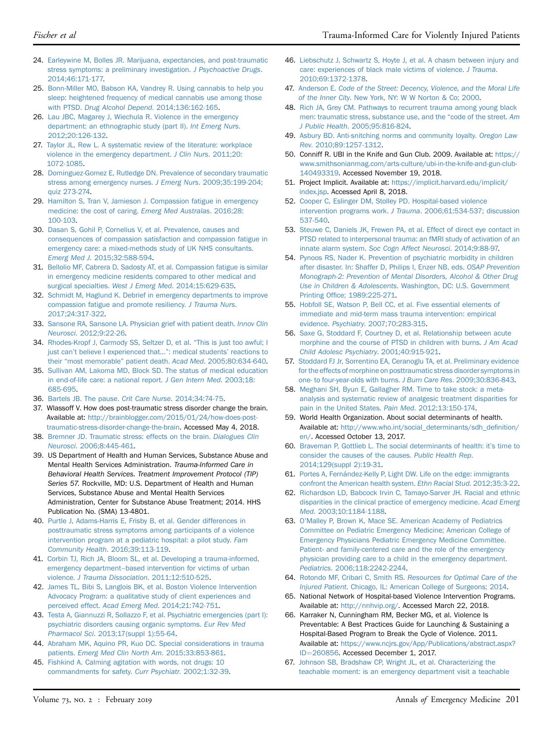- 24. [Earleywine M, Bolles JR. Marijuana, expectancies, and post-traumatic](http://refhub.elsevier.com/S0196-0644(18)31372-6/sref24) [stress symptoms: a preliminary investigation.](http://refhub.elsevier.com/S0196-0644(18)31372-6/sref24) J Psychoactive Drugs. [2014;46:171-177.](http://refhub.elsevier.com/S0196-0644(18)31372-6/sref24)
- <span id="page-8-0"></span>25. [Bonn-Miller MO, Babson KA, Vandrey R. Using cannabis to help you](http://refhub.elsevier.com/S0196-0644(18)31372-6/sref25) [sleep: heightened frequency of medical cannabis use among those](http://refhub.elsevier.com/S0196-0644(18)31372-6/sref25) with PTSD. [Drug Alcohol Depend](http://refhub.elsevier.com/S0196-0644(18)31372-6/sref25). 2014;136:162-165.
- <span id="page-8-1"></span>26. [Lau JBC, Magarey J, Wiechula R. Violence in the emergency](http://refhub.elsevier.com/S0196-0644(18)31372-6/sref26) [department: an ethnographic study \(part II\).](http://refhub.elsevier.com/S0196-0644(18)31372-6/sref26) Int Emerg Nurs. [2012;20:126-132](http://refhub.elsevier.com/S0196-0644(18)31372-6/sref26).
- 27. [Taylor JL, Rew L. A systematic review of the literature: workplace](http://refhub.elsevier.com/S0196-0644(18)31372-6/sref27) [violence in the emergency department.](http://refhub.elsevier.com/S0196-0644(18)31372-6/sref27) J Clin Nurs. 2011;20: [1072-1085.](http://refhub.elsevier.com/S0196-0644(18)31372-6/sref27)
- <span id="page-8-2"></span>28. [Dominguez-Gomez E, Rutledge DN. Prevalence of secondary traumatic](http://refhub.elsevier.com/S0196-0644(18)31372-6/sref28) [stress among emergency nurses.](http://refhub.elsevier.com/S0196-0644(18)31372-6/sref28) J Emerg Nurs. 2009;35:199-204; [quiz 273-274](http://refhub.elsevier.com/S0196-0644(18)31372-6/sref28).
- <span id="page-8-3"></span>29. [Hamilton S, Tran V, Jamieson J. Compassion fatigue in emergency](http://refhub.elsevier.com/S0196-0644(18)31372-6/sref29) [medicine: the cost of caring.](http://refhub.elsevier.com/S0196-0644(18)31372-6/sref29) Emerg Med Australas. 2016;28: [100-103.](http://refhub.elsevier.com/S0196-0644(18)31372-6/sref29)
- <span id="page-8-4"></span>30. [Dasan S, Gohil P, Cornelius V, et al. Prevalence, causes and](http://refhub.elsevier.com/S0196-0644(18)31372-6/sref30) [consequences of compassion satisfaction and compassion fatigue in](http://refhub.elsevier.com/S0196-0644(18)31372-6/sref30) [emergency care: a mixed-methods study of UK NHS consultants.](http://refhub.elsevier.com/S0196-0644(18)31372-6/sref30) Emerg Med J[. 2015;32:588-594](http://refhub.elsevier.com/S0196-0644(18)31372-6/sref30).
- 31. [Bellolio MF, Cabrera D, Sadosty AT, et al. Compassion fatigue is similar](http://refhub.elsevier.com/S0196-0644(18)31372-6/sref31) [in emergency medicine residents compared to other medical and](http://refhub.elsevier.com/S0196-0644(18)31372-6/sref31) surgical specialties. West J Emerg Med[. 2014;15:629-635.](http://refhub.elsevier.com/S0196-0644(18)31372-6/sref31)
- <span id="page-8-5"></span>32. [Schmidt M, Haglund K. Debrief in emergency departments to improve](http://refhub.elsevier.com/S0196-0644(18)31372-6/sref32) [compassion fatigue and promote resiliency.](http://refhub.elsevier.com/S0196-0644(18)31372-6/sref32) J Trauma Nurs. [2017;24:317-322](http://refhub.elsevier.com/S0196-0644(18)31372-6/sref32).
- <span id="page-8-6"></span>33. [Sansone RA, Sansone LA. Physician grief with patient death.](http://refhub.elsevier.com/S0196-0644(18)31372-6/sref33) Innov Clin Neurosci[. 2012;9:22-26](http://refhub.elsevier.com/S0196-0644(18)31372-6/sref33).
- <span id="page-8-7"></span>34. [Rhodes-Kropf J, Carmody SS, Seltzer D, et al.](http://refhub.elsevier.com/S0196-0644(18)31372-6/sref34) "This is just too awful; I just can'[t believe I experienced that...](http://refhub.elsevier.com/S0196-0644(18)31372-6/sref34)": medical students' reactions to their "most memorable" patient death. Acad Med[. 2005;80:634-640.](http://refhub.elsevier.com/S0196-0644(18)31372-6/sref34)
- <span id="page-8-8"></span>35. [Sullivan AM, Lakoma MD, Block SD. The status of medical education](http://refhub.elsevier.com/S0196-0644(18)31372-6/sref35) [in end-of-life care: a national report.](http://refhub.elsevier.com/S0196-0644(18)31372-6/sref35) J Gen Intern Med. 2003;18: [685-695.](http://refhub.elsevier.com/S0196-0644(18)31372-6/sref35)
- <span id="page-8-9"></span>36. [Bartels JB. The pause.](http://refhub.elsevier.com/S0196-0644(18)31372-6/sref36) Crit Care Nurse. 2014;34:74-75.
- <span id="page-8-10"></span>37. Wlassoff V. How does post-traumatic stress disorder change the brain. Available at: [http://brainblogger.com/2015/01/24/how-does-post](http://brainblogger.com/2015/01/24/how-does-post-traumatic-stress-disorder-change-the-brain)[traumatic-stress-disorder-change-the-brain](http://brainblogger.com/2015/01/24/how-does-post-traumatic-stress-disorder-change-the-brain). Accessed May 4, 2018.
- 38. [Bremner JD. Traumatic stress: effects on the brain.](http://refhub.elsevier.com/S0196-0644(18)31372-6/sref38) Dialogues Clin Neurosci[. 2006;8:445-461](http://refhub.elsevier.com/S0196-0644(18)31372-6/sref38).
- <span id="page-8-12"></span>39. US Department of Health and Human Services, Substance Abuse and Mental Health Services Administration. Trauma-Informed Care in Behavioral Health Services. Treatment Improvement Protocol (TIP) Series 57. Rockville, MD: U.S. Department of Health and Human Services, Substance Abuse and Mental Health Services Administration, Center for Substance Abuse Treatment; 2014. HHS Publication No. (SMA) 13-4801.
- 40. [Purtle J, Adams-Harris E, Frisby B, et al. Gender differences in](http://refhub.elsevier.com/S0196-0644(18)31372-6/sref40) [posttraumatic stress symptoms among participants of a violence](http://refhub.elsevier.com/S0196-0644(18)31372-6/sref40) [intervention program at a pediatric hospital: a pilot study.](http://refhub.elsevier.com/S0196-0644(18)31372-6/sref40) Fam Community Health[. 2016;39:113-119](http://refhub.elsevier.com/S0196-0644(18)31372-6/sref40).
- <span id="page-8-11"></span>41. [Corbin TJ, Rich JA, Bloom SL, et al. Developing a trauma-informed,](http://refhub.elsevier.com/S0196-0644(18)31372-6/sref41) [emergency department](http://refhub.elsevier.com/S0196-0644(18)31372-6/sref41)–[based intervention for victims of urban](http://refhub.elsevier.com/S0196-0644(18)31372-6/sref41) violence. [J Trauma Dissociation](http://refhub.elsevier.com/S0196-0644(18)31372-6/sref41). 2011;12:510-525.
- 42. [James TL, Bibi S, Langlois BK, et al. Boston Violence Intervention](http://refhub.elsevier.com/S0196-0644(18)31372-6/sref42) [Advocacy Program: a qualitative study of client experiences and](http://refhub.elsevier.com/S0196-0644(18)31372-6/sref42) perceived effect. Acad Emerg Med[. 2014;21:742-751](http://refhub.elsevier.com/S0196-0644(18)31372-6/sref42).
- <span id="page-8-13"></span>43. [Testa A, Giannuzzi R, Sollazzo F, et al. Psychiatric emergencies \(part I\):](http://refhub.elsevier.com/S0196-0644(18)31372-6/sref43) [psychiatric disorders causing organic symptoms.](http://refhub.elsevier.com/S0196-0644(18)31372-6/sref43) Eur Rev Med Pharmacol Sci[. 2013;17\(suppl 1\):55-64](http://refhub.elsevier.com/S0196-0644(18)31372-6/sref43).
- <span id="page-8-14"></span>44. [Abraham MK, Aquino PR, Kuo DC. Special considerations in trauma](http://refhub.elsevier.com/S0196-0644(18)31372-6/sref44) patients. [Emerg Med Clin North Am](http://refhub.elsevier.com/S0196-0644(18)31372-6/sref44). 2015;33:853-861.
- <span id="page-8-15"></span>45. [Fishkind A. Calming agitation with words, not drugs: 10](http://refhub.elsevier.com/S0196-0644(18)31372-6/sref45) [commandments for safety.](http://refhub.elsevier.com/S0196-0644(18)31372-6/sref45) Curr Psychiatr. 2002;1:32-39.
- <span id="page-8-16"></span>46. [Liebschutz J, Schwartz S, Hoyte J, et al. A chasm between injury and](http://refhub.elsevier.com/S0196-0644(18)31372-6/sref46) [care: experiences of black male victims of violence.](http://refhub.elsevier.com/S0196-0644(18)31372-6/sref46) J Trauma. [2010;69:1372-1378.](http://refhub.elsevier.com/S0196-0644(18)31372-6/sref46)
- <span id="page-8-17"></span>47. Anderson E. [Code of the Street: Decency, Violence, and the Moral Life](http://refhub.elsevier.com/S0196-0644(18)31372-6/sref47) of the Inner City[. New York, NY: W W Norton & Co; 2000](http://refhub.elsevier.com/S0196-0644(18)31372-6/sref47).
- <span id="page-8-18"></span>48. [Rich JA, Grey CM. Pathways to recurrent trauma among young black](http://refhub.elsevier.com/S0196-0644(18)31372-6/sref48) [men: traumatic stress, substance use, and the](http://refhub.elsevier.com/S0196-0644(18)31372-6/sref48) "code of the street. Am J Public Health[. 2005;95:816-824.](http://refhub.elsevier.com/S0196-0644(18)31372-6/sref48)
- <span id="page-8-19"></span>49. [Asbury BD. Anti-snitching norms and community loyalty.](http://refhub.elsevier.com/S0196-0644(18)31372-6/sref49) Oregon Law Rev[. 2010;89:1257-1312.](http://refhub.elsevier.com/S0196-0644(18)31372-6/sref49)
- <span id="page-8-20"></span>50. Conniff R. UBI in the Knife and Gun Club. 2009. Available at: [https://](https://www.smithsonianmag.com/arts-culture/ubi-in-the-knife-and-gun-club-140493319) [www.smithsonianmag.com/arts-culture/ubi-in-the-knife-and-gun-club-](https://www.smithsonianmag.com/arts-culture/ubi-in-the-knife-and-gun-club-140493319)[140493319](https://www.smithsonianmag.com/arts-culture/ubi-in-the-knife-and-gun-club-140493319). Accessed November 19, 2018.
- <span id="page-8-21"></span>51. Project Implicit. Available at: [https://implicit.harvard.edu/implicit/](https://implicit.harvard.edu/implicit/index.jsp) [index.jsp.](https://implicit.harvard.edu/implicit/index.jsp) Accessed April 8, 2018.
- <span id="page-8-22"></span>52. [Cooper C, Eslinger DM, Stolley PD. Hospital-based violence](http://refhub.elsevier.com/S0196-0644(18)31372-6/sref52) intervention programs work. J Trauma[. 2006;61:534-537; discussion](http://refhub.elsevier.com/S0196-0644(18)31372-6/sref52) [537-540.](http://refhub.elsevier.com/S0196-0644(18)31372-6/sref52)
- <span id="page-8-23"></span>53. [Steuwe C, Daniels JK, Frewen PA, et al. Effect of direct eye contact in](http://refhub.elsevier.com/S0196-0644(18)31372-6/sref53) [PTSD related to interpersonal trauma: an fMRI study of activation of an](http://refhub.elsevier.com/S0196-0644(18)31372-6/sref53) innate alarm system. [Soc Cogn Affect Neurosci](http://refhub.elsevier.com/S0196-0644(18)31372-6/sref53). 2014;9:88-97.
- <span id="page-8-24"></span>54. [Pynoos RS, Nader K. Prevention of psychiatric morbidity in children](http://refhub.elsevier.com/S0196-0644(18)31372-6/sref54) [after disaster. In: Shaffer D, Philips I, Enzer NB, eds.](http://refhub.elsevier.com/S0196-0644(18)31372-6/sref54) OSAP Prevention [Monograph-2: Prevention of Mental Disorders, Alcohol & Other Drug](http://refhub.elsevier.com/S0196-0644(18)31372-6/sref54) Use in Children & Adolescents[. Washington, DC: U.S. Government](http://refhub.elsevier.com/S0196-0644(18)31372-6/sref54) Printing Offi[ce; 1989:225-271](http://refhub.elsevier.com/S0196-0644(18)31372-6/sref54).
- 55. [Hobfoll SE, Watson P, Bell CC, et al. Five essential elements of](http://refhub.elsevier.com/S0196-0644(18)31372-6/sref55) [immediate and mid-term mass trauma intervention: empirical](http://refhub.elsevier.com/S0196-0644(18)31372-6/sref55) evidence. Psychiatry[. 2007;70:283-315.](http://refhub.elsevier.com/S0196-0644(18)31372-6/sref55)
- <span id="page-8-25"></span>56. [Saxe G, Stoddard F, Courtney D, et al. Relationship between acute](http://refhub.elsevier.com/S0196-0644(18)31372-6/sref56) [morphine and the course of PTSD in children with burns.](http://refhub.elsevier.com/S0196-0644(18)31372-6/sref56) J Am Acad [Child Adolesc Psychiatry](http://refhub.elsevier.com/S0196-0644(18)31372-6/sref56). 2001;40:915-921.
- 57. [Stoddard FJ Jr, Sorrentino EA, Ceranoglu TA, et al. Preliminary evidence](http://refhub.elsevier.com/S0196-0644(18)31372-6/sref57) [for the effects of morphine on posttraumatic stress disorder symptoms in](http://refhub.elsevier.com/S0196-0644(18)31372-6/sref57) [one- to four-year-olds with burns.](http://refhub.elsevier.com/S0196-0644(18)31372-6/sref57) J Burn Care Res. 2009;30:836-843.
- <span id="page-8-26"></span>58. [Meghani SH, Byun E, Gallagher RM. Time to take stock: a meta](http://refhub.elsevier.com/S0196-0644(18)31372-6/sref58)[analysis and systematic review of analgesic treatment disparities for](http://refhub.elsevier.com/S0196-0644(18)31372-6/sref58) [pain in the United States.](http://refhub.elsevier.com/S0196-0644(18)31372-6/sref58) Pain Med. 2012;13:150-174.
- <span id="page-8-27"></span>59. World Health Organization. About social determinants of health. Available at: [http://www.who.int/social\\_determinants/sdh\\_de](http://www.who.int/social_determinants/sdh_definition/en/)finition/ [en/](http://www.who.int/social_determinants/sdh_definition/en/). Accessed October 13, 2017.
- 60. [Braveman P, Gottlieb L. The social determinants of health: it](http://refhub.elsevier.com/S0196-0644(18)31372-6/sref60)'s time to [consider the causes of the causes.](http://refhub.elsevier.com/S0196-0644(18)31372-6/sref60) Public Health Rep. [2014;129\(suppl 2\):19-31](http://refhub.elsevier.com/S0196-0644(18)31372-6/sref60).
- <span id="page-8-28"></span>61. [Portes A, Fernández-Kelly P, Light DW. Life on the edge: immigrants](http://refhub.elsevier.com/S0196-0644(18)31372-6/sref61) [confront the American health system.](http://refhub.elsevier.com/S0196-0644(18)31372-6/sref61) Ethn Racial Stud. 2012;35:3-22.
- <span id="page-8-29"></span>62. [Richardson LD, Babcock Irvin C, Tamayo-Sarver JH. Racial and ethnic](http://refhub.elsevier.com/S0196-0644(18)31372-6/sref62) [disparities in the clinical practice of emergency medicine.](http://refhub.elsevier.com/S0196-0644(18)31372-6/sref62) Acad Emerg Med[. 2003;10:1184-1188.](http://refhub.elsevier.com/S0196-0644(18)31372-6/sref62)
- <span id="page-8-30"></span>63. O'[Malley P, Brown K, Mace SE. American Academy of Pediatrics](http://refhub.elsevier.com/S0196-0644(18)31372-6/sref63) [Committee on Pediatric Emergency Medicine; American College of](http://refhub.elsevier.com/S0196-0644(18)31372-6/sref63) [Emergency Physicians Pediatric Emergency Medicine Committee.](http://refhub.elsevier.com/S0196-0644(18)31372-6/sref63) [Patient- and family-centered care and the role of the emergency](http://refhub.elsevier.com/S0196-0644(18)31372-6/sref63) [physician providing care to a child in the emergency department.](http://refhub.elsevier.com/S0196-0644(18)31372-6/sref63) Pediatrics[. 2006;118:2242-2244.](http://refhub.elsevier.com/S0196-0644(18)31372-6/sref63)
- <span id="page-8-31"></span>64. Rotondo MF, Cribari C, Smith RS. [Resources for Optimal Care of the](http://refhub.elsevier.com/S0196-0644(18)31372-6/sref64) Injured Patient[. Chicago, IL: American College of Surgeons; 2014](http://refhub.elsevier.com/S0196-0644(18)31372-6/sref64).
- <span id="page-8-32"></span>65. National Network of Hospital-based Violence Intervention Programs. Available at: <http://nnhvip.org/>. Accessed March 22, 2018.
- <span id="page-8-33"></span>66. Karraker N, Cunningham RM, Becker MG, et al. Violence Is Preventable: A Best Practices Guide for Launching & Sustaining a Hospital-Based Program to Break the Cycle of Violence. 2011. Available at: [https://www.ncjrs.gov/App/Publications/abstract.aspx?](https://www.ncjrs.gov/App/Publications/abstract.aspx?ID=260856) [ID](https://www.ncjrs.gov/App/Publications/abstract.aspx?ID=260856)=[260856](https://www.ncjrs.gov/App/Publications/abstract.aspx?ID=260856). Accessed December 1, 2017.
- <span id="page-8-34"></span>67. [Johnson SB, Bradshaw CP, Wright JL, et al. Characterizing the](http://refhub.elsevier.com/S0196-0644(18)31372-6/sref67) [teachable moment: is an emergency department visit a teachable](http://refhub.elsevier.com/S0196-0644(18)31372-6/sref67)